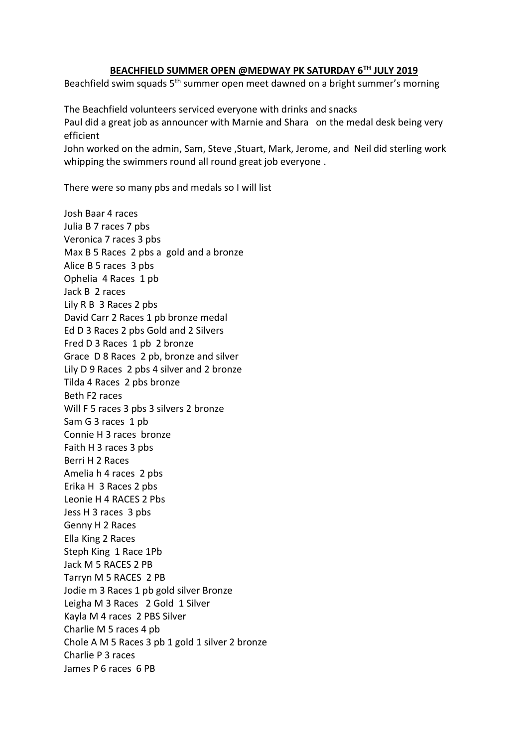## **BEACHFIELD SUMMER OPEN @MEDWAY PK SATURDAY 6TH JULY 2019**

Beachfield swim squads  $5<sup>th</sup>$  summer open meet dawned on a bright summer's morning

The Beachfield volunteers serviced everyone with drinks and snacks Paul did a great job as announcer with Marnie and Shara on the medal desk being very efficient

John worked on the admin, Sam, Steve ,Stuart, Mark, Jerome, and Neil did sterling work whipping the swimmers round all round great job everyone .

There were so many pbs and medals so I will list

Josh Baar 4 races Julia B 7 races 7 pbs Veronica 7 races 3 pbs Max B 5 Races 2 pbs a gold and a bronze Alice B 5 races 3 pbs Ophelia 4 Races 1 pb Jack B 2 races Lily R B 3 Races 2 pbs David Carr 2 Races 1 pb bronze medal Ed D 3 Races 2 pbs Gold and 2 Silvers Fred D 3 Races 1 pb 2 bronze Grace D 8 Races 2 pb, bronze and silver Lily D 9 Races 2 pbs 4 silver and 2 bronze Tilda 4 Races 2 pbs bronze Beth F2 races Will F 5 races 3 pbs 3 silvers 2 bronze Sam G 3 races 1 pb Connie H 3 races bronze Faith H 3 races 3 pbs Berri H 2 Races Amelia h 4 races 2 pbs Erika H 3 Races 2 pbs Leonie H 4 RACES 2 Pbs Jess H 3 races 3 pbs Genny H 2 Races Ella King 2 Races Steph King 1 Race 1Pb Jack M 5 RACES 2 PB Tarryn M 5 RACES 2 PB Jodie m 3 Races 1 pb gold silver Bronze Leigha M 3 Races 2 Gold 1 Silver Kayla M 4 races 2 PBS Silver Charlie M 5 races 4 pb Chole A M 5 Races 3 pb 1 gold 1 silver 2 bronze Charlie P 3 races James P 6 races 6 PB